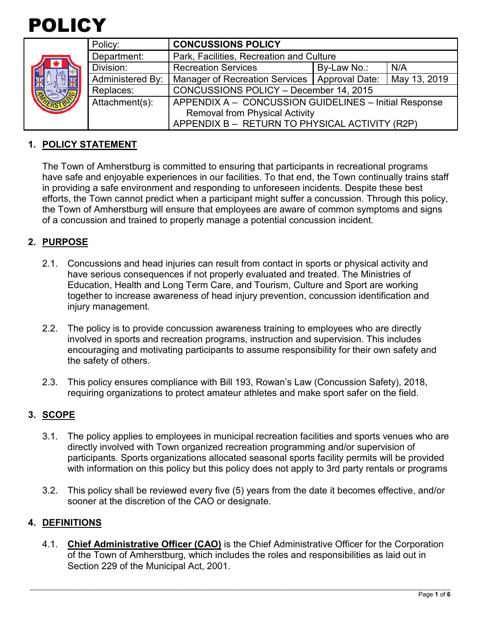

|  | Policy:          | <b>CONCUSSIONS POLICY</b>                             |             |              |
|--|------------------|-------------------------------------------------------|-------------|--------------|
|  | Department:      | Park, Facilities, Recreation and Culture              |             |              |
|  | Division:        | <b>Recreation Services</b>                            | By-Law No.: | N/A          |
|  | Administered By: | Manager of Recreation Services   Approval Date:       |             | May 13, 2019 |
|  | Replaces:        | CONCUSSIONS POLICY - December 14, 2015                |             |              |
|  | Attachment(s):   | APPENDIX A - CONCUSSION GUIDELINES - Initial Response |             |              |
|  |                  | <b>Removal from Physical Activity</b>                 |             |              |
|  |                  | APPENDIX B - RETURN TO PHYSICAL ACTIVITY (R2P)        |             |              |

## **1. POLICY STATEMENT**

The Town of Amherstburg is committed to ensuring that participants in recreational programs have safe and enjoyable experiences in our facilities. To that end, the Town continually trains staff in providing a safe environment and responding to unforeseen incidents. Despite these best efforts, the Town cannot predict when a participant might suffer a concussion. Through this policy, the Town of Amherstburg will ensure that employees are aware of common symptoms and signs of a concussion and trained to properly manage a potential concussion incident.

#### **2. PURPOSE**

- 2.1. Concussions and head injuries can result from contact in sports or physical activity and have serious consequences if not properly evaluated and treated. The Ministries of Education, Health and Long Term Care, and Tourism, Culture and Sport are working together to increase awareness of head injury prevention, concussion identification and injury management.
- 2.2. The policy is to provide concussion awareness training to employees who are directly involved in sports and recreation programs, instruction and supervision. This includes encouraging and motivating participants to assume responsibility for their own safety and the safety of others.
- 2.3. This policy ensures compliance with Bill 193, Rowan's Law (Concussion Safety), 2018, requiring organizations to protect amateur athletes and make sport safer on the field.

#### **3. SCOPE**

- 3.1. The policy applies to employees in municipal recreation facilities and sports venues who are directly involved with Town organized recreation programming and/or supervision of participants. Sports organizations allocated seasonal sports facility permits will be provided with information on this policy but this policy does not apply to 3rd party rentals or programs
- 3.2. This policy shall be reviewed every five (5) years from the date it becomes effective, and/or sooner at the discretion of the CAO or designate.

#### **4. DEFINITIONS**

4.1. **Chief Administrative Officer (CAO)** is the Chief Administrative Officer for the Corporation of the Town of Amherstburg, which includes the roles and responsibilities as laid out in Section 229 of the Municipal Act, 2001.

\_\_\_\_\_\_\_\_\_\_\_\_\_\_\_\_\_\_\_\_\_\_\_\_\_\_\_\_\_\_\_\_\_\_\_\_\_\_\_\_\_\_\_\_\_\_\_\_\_\_\_\_\_\_\_\_\_\_\_\_\_\_\_\_\_\_\_\_\_\_\_\_\_\_\_\_\_\_\_\_\_\_\_\_\_\_\_\_\_\_\_\_\_\_\_\_\_\_\_\_\_\_\_\_\_\_\_\_\_\_\_\_\_\_\_\_\_\_\_\_\_\_\_\_\_\_\_\_\_\_\_\_\_\_\_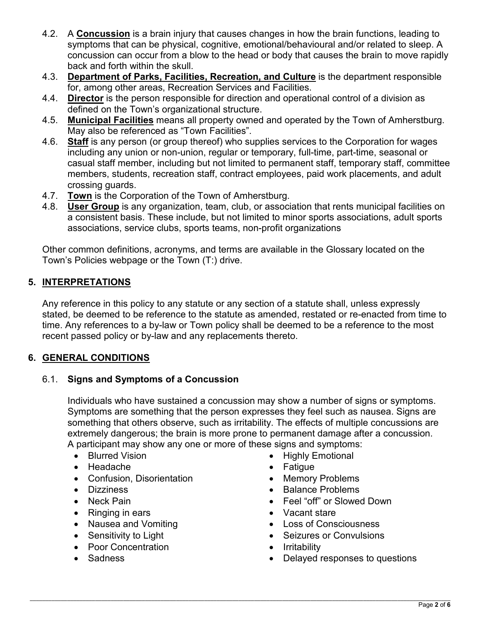- 4.2. A **Concussion** is a brain injury that causes changes in how the brain functions, leading to symptoms that can be physical, cognitive, emotional/behavioural and/or related to sleep. A concussion can occur from a blow to the head or body that causes the brain to move rapidly back and forth within the skull.
- 4.3. **Department of Parks, Facilities, Recreation, and Culture** is the department responsible for, among other areas, Recreation Services and Facilities.
- 4.4. **Director** is the person responsible for direction and operational control of a division as defined on the Town's organizational structure.
- 4.5. **Municipal Facilities** means all property owned and operated by the Town of Amherstburg. May also be referenced as "Town Facilities".
- 4.6. **Staff** is any person (or group thereof) who supplies services to the Corporation for wages including any union or non-union, regular or temporary, full-time, part-time, seasonal or casual staff member, including but not limited to permanent staff, temporary staff, committee members, students, recreation staff, contract employees, paid work placements, and adult crossing guards.
- 4.7. **Town** is the Corporation of the Town of Amherstburg.
- 4.8. **User Group** is any organization, team, club, or association that rents municipal facilities on a consistent basis. These include, but not limited to minor sports associations, adult sports associations, service clubs, sports teams, non-profit organizations

Other common definitions, acronyms, and terms are available in the Glossary located on the Town's Policies webpage or the Town (T:) drive.

## **5. INTERPRETATIONS**

Any reference in this policy to any statute or any section of a statute shall, unless expressly stated, be deemed to be reference to the statute as amended, restated or re-enacted from time to time. Any references to a by-law or Town policy shall be deemed to be a reference to the most recent passed policy or by-law and any replacements thereto.

# **6. GENERAL CONDITIONS**

## 6.1. **Signs and Symptoms of a Concussion**

Individuals who have sustained a concussion may show a number of signs or symptoms. Symptoms are something that the person expresses they feel such as nausea. Signs are something that others observe, such as irritability. The effects of multiple concussions are extremely dangerous; the brain is more prone to permanent damage after a concussion. A participant may show any one or more of these signs and symptoms:

- Blurred Vision
- Headache
- Confusion, Disorientation
- Dizziness
- Neck Pain
- Ringing in ears
- Nausea and Vomiting
- Sensitivity to Light
- Poor Concentration
- Sadness
- Highly Emotional
- Fatigue
- Memory Problems
- Balance Problems
- Feel "off" or Slowed Down
- Vacant stare
- Loss of Consciousness
- Seizures or Convulsions
- Irritability
- Delayed responses to questions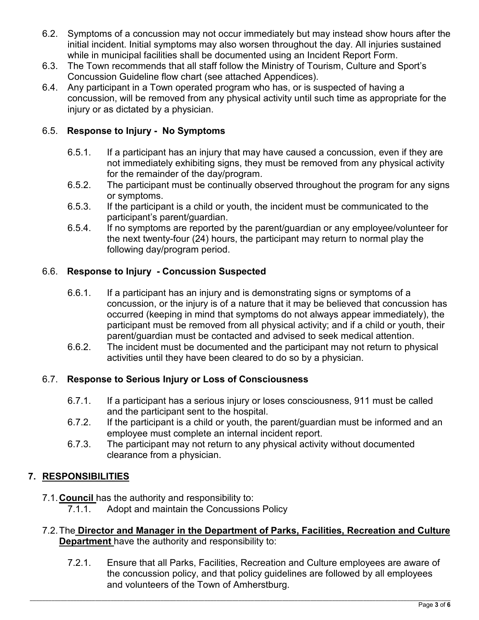- 6.2. Symptoms of a concussion may not occur immediately but may instead show hours after the initial incident. Initial symptoms may also worsen throughout the day. All injuries sustained while in municipal facilities shall be documented using an Incident Report Form.
- 6.3. The Town recommends that all staff follow the Ministry of Tourism, Culture and Sport's Concussion Guideline flow chart (see attached Appendices).
- 6.4. Any participant in a Town operated program who has, or is suspected of having a concussion, will be removed from any physical activity until such time as appropriate for the injury or as dictated by a physician.

## 6.5. **Response to Injury - No Symptoms**

- 6.5.1. If a participant has an injury that may have caused a concussion, even if they are not immediately exhibiting signs, they must be removed from any physical activity for the remainder of the day/program.
- 6.5.2. The participant must be continually observed throughout the program for any signs or symptoms.
- 6.5.3. If the participant is a child or youth, the incident must be communicated to the participant's parent/guardian.
- 6.5.4. If no symptoms are reported by the parent/guardian or any employee/volunteer for the next twenty-four (24) hours, the participant may return to normal play the following day/program period.

## 6.6. **Response to Injury - Concussion Suspected**

- 6.6.1. If a participant has an injury and is demonstrating signs or symptoms of a concussion, or the injury is of a nature that it may be believed that concussion has occurred (keeping in mind that symptoms do not always appear immediately), the participant must be removed from all physical activity; and if a child or youth, their parent/guardian must be contacted and advised to seek medical attention.
- 6.6.2. The incident must be documented and the participant may not return to physical activities until they have been cleared to do so by a physician.

## 6.7. **Response to Serious Injury or Loss of Consciousness**

- 6.7.1. If a participant has a serious injury or loses consciousness, 911 must be called and the participant sent to the hospital.
- 6.7.2. If the participant is a child or youth, the parent/guardian must be informed and an employee must complete an internal incident report.
- 6.7.3. The participant may not return to any physical activity without documented clearance from a physician.

# **7. RESPONSIBILITIES**

- 7.1.**Council** has the authority and responsibility to:
	- Adopt and maintain the Concussions Policy
- 7.2.The **Director and Manager in the Department of Parks, Facilities, Recreation and Culture Department** have the authority and responsibility to:
	- 7.2.1. Ensure that all Parks, Facilities, Recreation and Culture employees are aware of the concussion policy, and that policy guidelines are followed by all employees and volunteers of the Town of Amherstburg.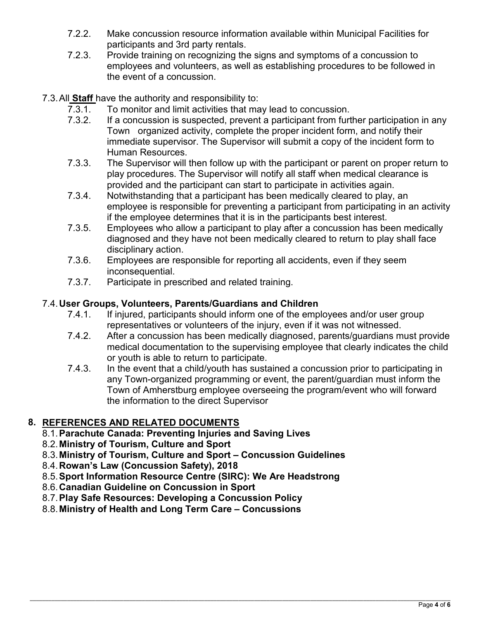- 7.2.2. Make concussion resource information available within Municipal Facilities for participants and 3rd party rentals.
- 7.2.3. Provide training on recognizing the signs and symptoms of a concussion to employees and volunteers, as well as establishing procedures to be followed in the event of a concussion.
- 7.3.All **Staff** have the authority and responsibility to:
	- 7.3.1. To monitor and limit activities that may lead to concussion.<br>7.3.2. If a concussion is suspected, prevent a participant from furt
	- If a concussion is suspected, prevent a participant from further participation in any Town organized activity, complete the proper incident form, and notify their immediate supervisor. The Supervisor will submit a copy of the incident form to Human Resources.
	- 7.3.3. The Supervisor will then follow up with the participant or parent on proper return to play procedures. The Supervisor will notify all staff when medical clearance is provided and the participant can start to participate in activities again.
	- 7.3.4. Notwithstanding that a participant has been medically cleared to play, an employee is responsible for preventing a participant from participating in an activity if the employee determines that it is in the participants best interest.
	- 7.3.5. Employees who allow a participant to play after a concussion has been medically diagnosed and they have not been medically cleared to return to play shall face disciplinary action.
	- 7.3.6. Employees are responsible for reporting all accidents, even if they seem inconsequential.
	- 7.3.7. Participate in prescribed and related training.

### 7.4.**User Groups, Volunteers, Parents/Guardians and Children**

- 7.4.1. If injured, participants should inform one of the employees and/or user group representatives or volunteers of the injury, even if it was not witnessed.
- 7.4.2. After a concussion has been medically diagnosed, parents/guardians must provide medical documentation to the supervising employee that clearly indicates the child or youth is able to return to participate.
- 7.4.3. In the event that a child/youth has sustained a concussion prior to participating in any Town-organized programming or event, the parent/guardian must inform the Town of Amherstburg employee overseeing the program/event who will forward the information to the direct Supervisor

## **8. REFERENCES AND RELATED DOCUMENTS**

- 8.1.**Parachute Canada: Preventing Injuries and Saving Lives**
- 8.2.**Ministry of Tourism, Culture and Sport**
- 8.3.**Ministry of Tourism, Culture and Sport Concussion Guidelines**
- 8.4.**Rowan's Law (Concussion Safety), 2018**
- 8.5.**Sport Information Resource Centre (SIRC): We Are Headstrong**
- 8.6.**Canadian Guideline on Concussion in Sport**
- 8.7.**Play Safe Resources: Developing a Concussion Policy**
- 8.8.**Ministry of Health and Long Term Care Concussions**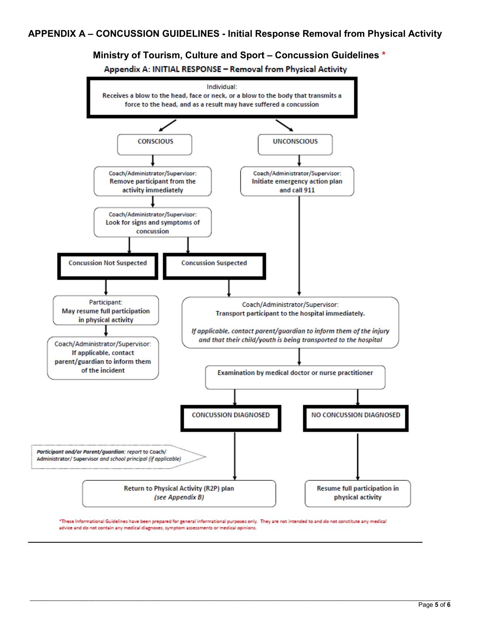**Ministry of Tourism, Culture and Sport – Concussion Guidelines \***

Appendix A: INITIAL RESPONSE - Removal from Physical Activity



\*These Informational Guidelines have been prepared for general informational purposes only. They are not intended to and do not constitute any medical advice and do not contain any medical diagnoses, symptom assessments or medical opinions.